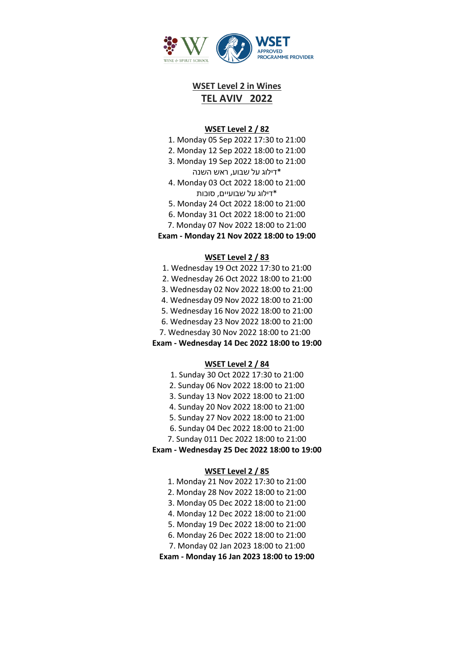

# **WSET Level 2 in Wines TEL AVIV 2022**

#### **WSET Level 2 / 82**

- 1. Monday 05 Sep 2022 17:30 to 21:00
- 2. Monday 12 Sep 2022 18:00 to 21:00
- 3. Monday 19 Sep 2022 18:00 to 21:00

\*דילוג על שבוע, ראש השנה

- 4. Monday 03 Oct 2022 18:00 to 21:00 \*דילוג על שבועיים, סוכות
- 5. Monday 24 Oct 2022 18:00 to 21:00
- 6. Monday 31 Oct 2022 18:00 to 21:00
- 7. Monday 07 Nov 2022 18:00 to 21:00

**Exam - Monday 21 Nov 2022 18:00 to 19:00**

#### **WSET Level 2 / 83**

- 1. Wednesday 19 Oct 2022 17:30 to 21:00
- 2. Wednesday 26 Oct 2022 18:00 to 21:00
- 3. Wednesday 02 Nov 2022 18:00 to 21:00
- 4. Wednesday 09 Nov 2022 18:00 to 21:00
- 5. Wednesday 16 Nov 2022 18:00 to 21:00
- 6. Wednesday 23 Nov 2022 18:00 to 21:00
- 7. Wednesday 30 Nov 2022 18:00 to 21:00

**Exam - Wednesday 14 Dec 2022 18:00 to 19:00**

### **WSET Level 2 / 84**

- 1. Sunday 30 Oct 2022 17:30 to 21:00
- 2. Sunday 06 Nov 2022 18:00 to 21:00
- 3. Sunday 13 Nov 2022 18:00 to 21:00
- 4. Sunday 20 Nov 2022 18:00 to 21:00
- 5. Sunday 27 Nov 2022 18:00 to 21:00
- 6. Sunday 04 Dec 2022 18:00 to 21:00
- 7. Sunday 011 Dec 2022 18:00 to 21:00
- **Exam - Wednesday 25 Dec 2022 18:00 to 19:00**

### **WSET Level 2 / 85**

- 1. Monday 21 Nov 2022 17:30 to 21:00
- 2. Monday 28 Nov 2022 18:00 to 21:00
- 3. Monday 05 Dec 2022 18:00 to 21:00
- 4. Monday 12 Dec 2022 18:00 to 21:00
- 5. Monday 19 Dec 2022 18:00 to 21:00
- 6. Monday 26 Dec 2022 18:00 to 21:00
- 7. Monday 02 Jan 2023 18:00 to 21:00

**Exam - Monday 16 Jan 2023 18:00 to 19:00**